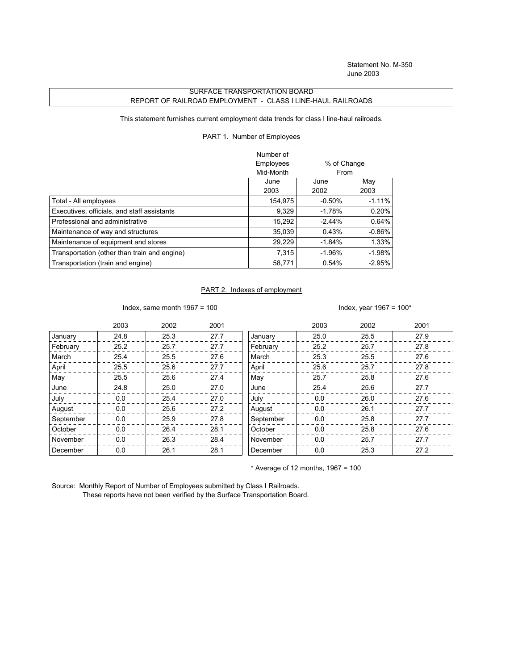Statement No. M-350 June 2003

## SURFACE TRANSPORTATION BOARD REPORT OF RAILROAD EMPLOYMENT - CLASS I LINE-HAUL RAILROADS

This statement furnishes current employment data trends for class I line-haul railroads.

## PART 1. Number of Employees

|                                              | Number of |             |          |
|----------------------------------------------|-----------|-------------|----------|
|                                              | Employees | % of Change |          |
|                                              | Mid-Month | From        |          |
|                                              | June      | June        | May      |
|                                              | 2003      | 2002        | 2003     |
| Total - All employees                        | 154,975   | $-0.50%$    | $-1.11%$ |
| Executives, officials, and staff assistants  | 9,329     | $-1.78%$    | 0.20%    |
| Professional and administrative              | 15.292    | $-2.44\%$   | 0.64%    |
| Maintenance of way and structures            | 35.039    | 0.43%       | $-0.86%$ |
| Maintenance of equipment and stores          | 29,229    | $-1.84%$    | 1.33%    |
| Transportation (other than train and engine) | 7.315     | $-1.96\%$   | $-1.98%$ |
| Transportation (train and engine)            | 58,771    | 0.54%       | $-2.95%$ |

## PART 2. Indexes of employment

Index, same month  $1967 = 100$  Index, year  $1967 = 100*$ 

|           | 2003 | 2002 | 2001 |           | 2003 | 2002 | 2001 |
|-----------|------|------|------|-----------|------|------|------|
| January   | 24.8 | 25.3 | 27.7 | January   | 25.0 | 25.5 | 27.9 |
| February  | 25.2 | 25.7 | 27.7 | February  | 25.2 | 25.7 | 27.8 |
| March     | 25.4 | 25.5 | 27.6 | March     | 25.3 | 25.5 | 27.6 |
| April     | 25.5 | 25.6 | 27.7 | April     | 25.6 | 25.7 | 27.8 |
| May       | 25.5 | 25.6 | 27.4 | May       | 25.7 | 25.8 | 27.6 |
| June      | 24.8 | 25.0 | 27.0 | June      | 25.4 | 25.6 | 27.7 |
| July      | 0.0  | 25.4 | 27.0 | July      | 0.0  | 26.0 | 27.6 |
| August    | 0.0  | 25.6 | 27.2 | August    | 0.0  | 26.1 | 27.7 |
| September | 0.0  | 25.9 | 27.8 | September | 0.0  | 25.8 | 27.7 |
| October   | 0.0  | 26.4 | 28.1 | October   | 0.0  | 25.8 | 27.6 |
| November  | 0.0  | 26.3 | 28.4 | November  | 0.0  | 25.7 | 27.7 |
| December  | 0.0  | 26.1 | 28.1 | December  | 0.0  | 25.3 | 27.2 |

 $*$  Average of 12 months, 1967 = 100

Source: Monthly Report of Number of Employees submitted by Class I Railroads. These reports have not been verified by the Surface Transportation Board.